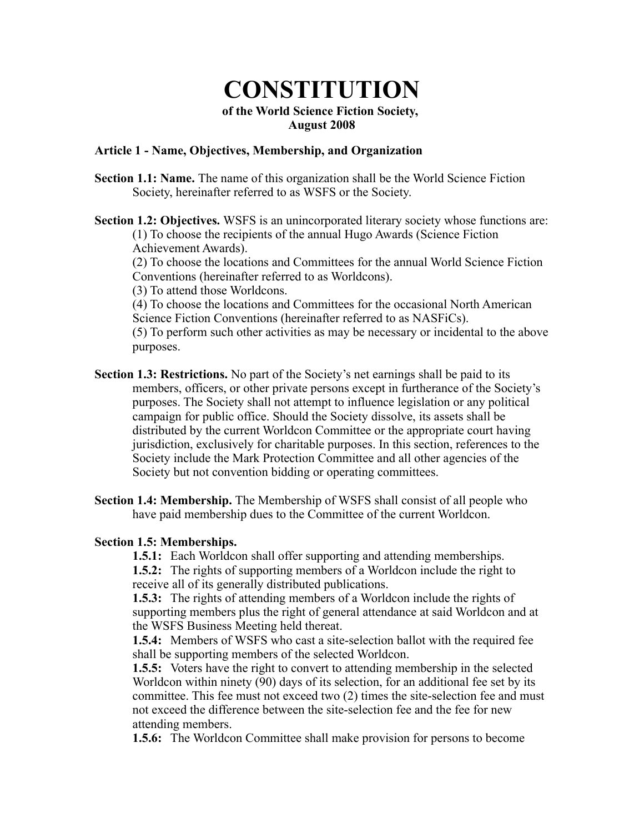# **CONSTITUTION** of the World Science Fiction Society, August 2008

# Article 1 - Name, Objectives, Membership, and Organization

- Section 1.1: Name. The name of this organization shall be the World Science Fiction Society, hereinafter referred to as WSFS or the Society.
- Section 1.2: Objectives. WSFS is an unincorporated literary society whose functions are: (1) To choose the recipients of the annual Hugo Awards (Science Fiction Achievement Awards).

(2) To choose the locations and Committees for the annual World Science Fiction Conventions (hereinafter referred to as Worldcons).

(3) To attend those Worldcons.

(4) To choose the locations and Committees for the occasional North American Science Fiction Conventions (hereinafter referred to as NASFiCs).

(5) To perform such other activities as may be necessary or incidental to the above purposes.

- Section 1.3: Restrictions. No part of the Society's net earnings shall be paid to its members, officers, or other private persons except in furtherance of the Society's purposes. The Society shall not attempt to influence legislation or any political campaign for public office. Should the Society dissolve, its assets shall be distributed by the current Worldcon Committee or the appropriate court having jurisdiction, exclusively for charitable purposes. In this section, references to the Society include the Mark Protection Committee and all other agencies of the Society but not convention bidding or operating committees.
- Section 1.4: Membership. The Membership of WSFS shall consist of all people who have paid membership dues to the Committee of the current Worldcon.

#### Section 1.5: Memberships.

1.5.1: Each Worldcon shall offer supporting and attending memberships.

1.5.2: The rights of supporting members of a Worldcon include the right to receive all of its generally distributed publications.

1.5.3: The rights of attending members of a Worldcon include the rights of supporting members plus the right of general attendance at said Worldcon and at the WSFS Business Meeting held thereat.

1.5.4: Members of WSFS who cast a site-selection ballot with the required fee shall be supporting members of the selected Worldcon.

1.5.5: Voters have the right to convert to attending membership in the selected Worldcon within ninety (90) days of its selection, for an additional fee set by its committee. This fee must not exceed two (2) times the site-selection fee and must not exceed the difference between the site-selection fee and the fee for new attending members.

1.5.6: The Worldcon Committee shall make provision for persons to become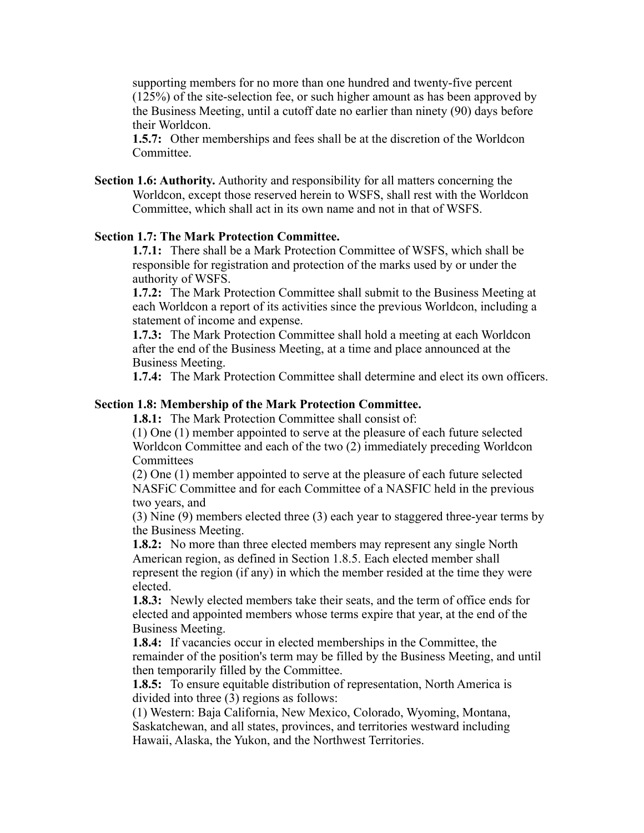supporting members for no more than one hundred and twenty-five percent (125%) of the site-selection fee, or such higher amount as has been approved by the Business Meeting, until a cutoff date no earlier than ninety (90) days before their Worldcon.

1.5.7: Other memberships and fees shall be at the discretion of the Worldcon **Committee** 

Section 1.6: Authority. Authority and responsibility for all matters concerning the Worldcon, except those reserved herein to WSFS, shall rest with the Worldcon Committee, which shall act in its own name and not in that of WSFS.

#### Section 1.7: The Mark Protection Committee.

1.7.1: There shall be a Mark Protection Committee of WSFS, which shall be responsible for registration and protection of the marks used by or under the authority of WSFS.

1.7.2: The Mark Protection Committee shall submit to the Business Meeting at each Worldcon a report of its activities since the previous Worldcon, including a statement of income and expense.

1.7.3: The Mark Protection Committee shall hold a meeting at each Worldcon after the end of the Business Meeting, at a time and place announced at the Business Meeting.

1.7.4: The Mark Protection Committee shall determine and elect its own officers.

## Section 1.8: Membership of the Mark Protection Committee.

1.8.1: The Mark Protection Committee shall consist of:

(1) One (1) member appointed to serve at the pleasure of each future selected Worldcon Committee and each of the two (2) immediately preceding Worldcon Committees

(2) One (1) member appointed to serve at the pleasure of each future selected NASFiC Committee and for each Committee of a NASFIC held in the previous two years, and

(3) Nine (9) members elected three (3) each year to staggered three-year terms by the Business Meeting.

1.8.2: No more than three elected members may represent any single North American region, as defined in Section 1.8.5. Each elected member shall represent the region (if any) in which the member resided at the time they were elected.

1.8.3: Newly elected members take their seats, and the term of office ends for elected and appointed members whose terms expire that year, at the end of the Business Meeting.

1.8.4: If vacancies occur in elected memberships in the Committee, the remainder of the position's term may be filled by the Business Meeting, and until then temporarily filled by the Committee.

1.8.5: To ensure equitable distribution of representation, North America is divided into three (3) regions as follows:

(1) Western: Baja California, New Mexico, Colorado, Wyoming, Montana, Saskatchewan, and all states, provinces, and territories westward including Hawaii, Alaska, the Yukon, and the Northwest Territories.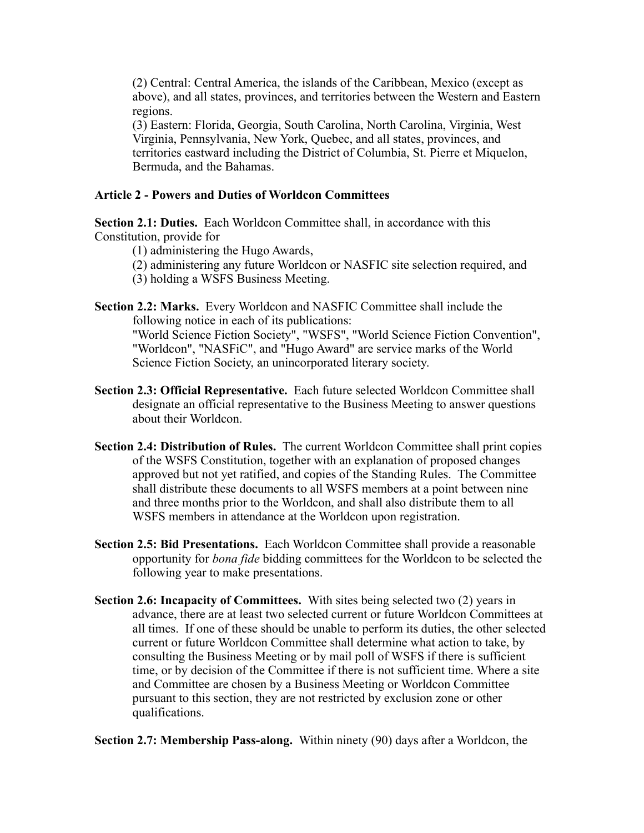(2) Central: Central America, the islands of the Caribbean, Mexico (except as above), and all states, provinces, and territories between the Western and Eastern regions.

(3) Eastern: Florida, Georgia, South Carolina, North Carolina, Virginia, West Virginia, Pennsylvania, New York, Quebec, and all states, provinces, and territories eastward including the District of Columbia, St. Pierre et Miquelon, Bermuda, and the Bahamas.

# Article 2 - Powers and Duties of Worldcon Committees

Section 2.1: Duties. Each Worldcon Committee shall, in accordance with this Constitution, provide for

- (1) administering the Hugo Awards,
- (2) administering any future Worldcon or NASFIC site selection required, and
- (3) holding a WSFS Business Meeting.
- Section 2.2: Marks. Every Worldcon and NASFIC Committee shall include the following notice in each of its publications: "World Science Fiction Society", "WSFS", "World Science Fiction Convention", "Worldcon", "NASFiC", and "Hugo Award" are service marks of the World Science Fiction Society, an unincorporated literary society.
- Section 2.3: Official Representative. Each future selected Worldcon Committee shall designate an official representative to the Business Meeting to answer questions about their Worldcon.
- Section 2.4: Distribution of Rules. The current Worldcon Committee shall print copies of the WSFS Constitution, together with an explanation of proposed changes approved but not yet ratified, and copies of the Standing Rules. The Committee shall distribute these documents to all WSFS members at a point between nine and three months prior to the Worldcon, and shall also distribute them to all WSFS members in attendance at the Worldcon upon registration.
- Section 2.5: Bid Presentations. Each Worldcon Committee shall provide a reasonable opportunity for *bona fide* bidding committees for the Worldcon to be selected the following year to make presentations.
- Section 2.6: Incapacity of Committees. With sites being selected two (2) years in advance, there are at least two selected current or future Worldcon Committees at all times. If one of these should be unable to perform its duties, the other selected current or future Worldcon Committee shall determine what action to take, by consulting the Business Meeting or by mail poll of WSFS if there is sufficient time, or by decision of the Committee if there is not sufficient time. Where a site and Committee are chosen by a Business Meeting or Worldcon Committee pursuant to this section, they are not restricted by exclusion zone or other qualifications.

Section 2.7: Membership Pass-along. Within ninety (90) days after a Worldcon, the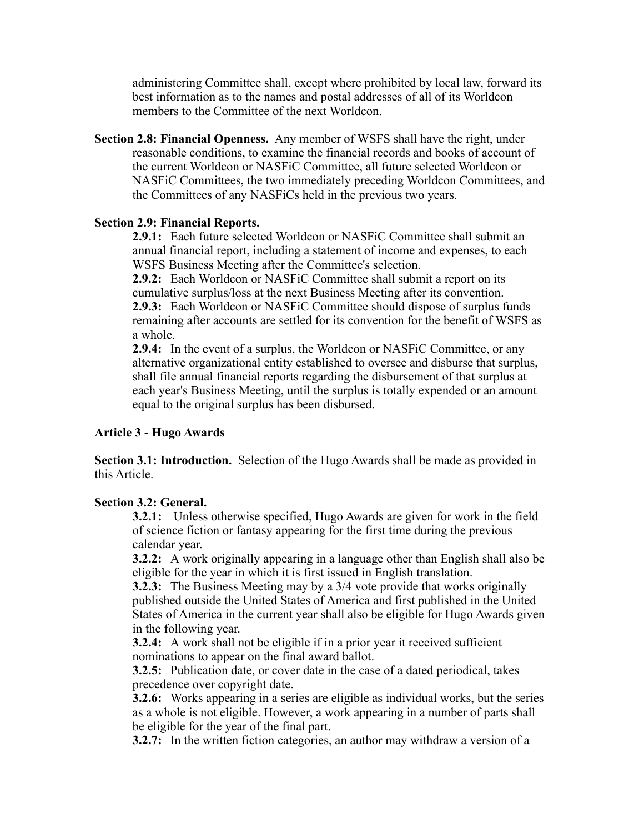administering Committee shall, except where prohibited by local law, forward its best information as to the names and postal addresses of all of its Worldcon members to the Committee of the next Worldcon.

Section 2.8: Financial Openness. Any member of WSFS shall have the right, under reasonable conditions, to examine the financial records and books of account of the current Worldcon or NASFiC Committee, all future selected Worldcon or NASFiC Committees, the two immediately preceding Worldcon Committees, and the Committees of any NASFiCs held in the previous two years.

# Section 2.9: Financial Reports.

2.9.1: Each future selected Worldcon or NASFiC Committee shall submit an annual financial report, including a statement of income and expenses, to each WSFS Business Meeting after the Committee's selection.

2.9.2: Each Worldcon or NASFiC Committee shall submit a report on its cumulative surplus/loss at the next Business Meeting after its convention. 2.9.3: Each Worldcon or NASFiC Committee should dispose of surplus funds remaining after accounts are settled for its convention for the benefit of WSFS as a whole.

2.9.4: In the event of a surplus, the Worldcon or NASFIC Committee, or any alternative organizational entity established to oversee and disburse that surplus, shall file annual financial reports regarding the disbursement of that surplus at each year's Business Meeting, until the surplus is totally expended or an amount equal to the original surplus has been disbursed.

# Article 3 - Hugo Awards

Section 3.1: Introduction. Selection of the Hugo Awards shall be made as provided in this Article.

# Section 3.2: General.

3.2.1: Unless otherwise specified, Hugo Awards are given for work in the field of science fiction or fantasy appearing for the first time during the previous calendar year.

3.2.2: A work originally appearing in a language other than English shall also be eligible for the year in which it is first issued in English translation.

**3.2.3:** The Business Meeting may by a 3/4 vote provide that works originally published outside the United States of America and first published in the United States of America in the current year shall also be eligible for Hugo Awards given in the following year.

3.2.4: A work shall not be eligible if in a prior year it received sufficient nominations to appear on the final award ballot.

3.2.5: Publication date, or cover date in the case of a dated periodical, takes precedence over copyright date.

3.2.6: Works appearing in a series are eligible as individual works, but the series as a whole is not eligible. However, a work appearing in a number of parts shall be eligible for the year of the final part.

3.2.7: In the written fiction categories, an author may withdraw a version of a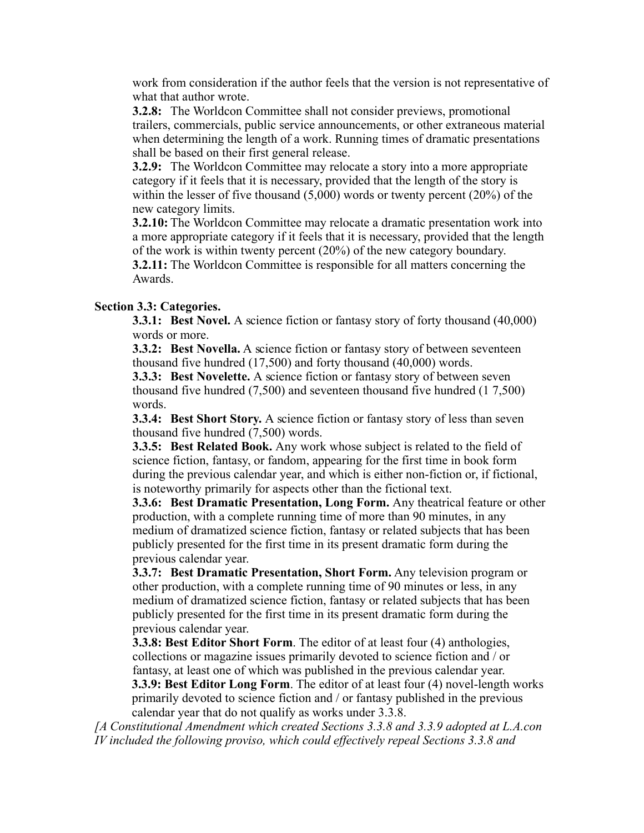work from consideration if the author feels that the version is not representative of what that author wrote.

3.2.8: The Worldcon Committee shall not consider previews, promotional trailers, commercials, public service announcements, or other extraneous material when determining the length of a work. Running times of dramatic presentations shall be based on their first general release.

3.2.9: The Worldcon Committee may relocate a story into a more appropriate category if it feels that it is necessary, provided that the length of the story is within the lesser of five thousand (5,000) words or twenty percent (20%) of the new category limits.

3.2.10: The Worldcon Committee may relocate a dramatic presentation work into a more appropriate category if it feels that it is necessary, provided that the length of the work is within twenty percent (20%) of the new category boundary.

3.2.11: The Worldcon Committee is responsible for all matters concerning the Awards.

# Section 3.3: Categories.

**3.3.1: Best Novel.** A science fiction or fantasy story of forty thousand (40,000) words or more.

3.3.2: Best Novella. A science fiction or fantasy story of between seventeen thousand five hundred (17,500) and forty thousand (40,000) words.

**3.3.3:** Best Novelette. A science fiction or fantasy story of between seven thousand five hundred (7,500) and seventeen thousand five hundred (1 7,500) words.

3.3.4: Best Short Story. A science fiction or fantasy story of less than seven thousand five hundred (7,500) words.

3.3.5: Best Related Book. Any work whose subject is related to the field of science fiction, fantasy, or fandom, appearing for the first time in book form during the previous calendar year, and which is either non-fiction or, if fictional, is noteworthy primarily for aspects other than the fictional text.

3.3.6: Best Dramatic Presentation, Long Form. Any theatrical feature or other production, with a complete running time of more than 90 minutes, in any medium of dramatized science fiction, fantasy or related subjects that has been publicly presented for the first time in its present dramatic form during the previous calendar year.

3.3.7: Best Dramatic Presentation, Short Form. Any television program or other production, with a complete running time of 90 minutes or less, in any medium of dramatized science fiction, fantasy or related subjects that has been publicly presented for the first time in its present dramatic form during the previous calendar year.

3.3.8: Best Editor Short Form. The editor of at least four (4) anthologies, collections or magazine issues primarily devoted to science fiction and / or fantasy, at least one of which was published in the previous calendar year.

3.3.9: Best Editor Long Form. The editor of at least four (4) novel-length works primarily devoted to science fiction and / or fantasy published in the previous calendar year that do not qualify as works under 3.3.8.

*[A Constitutional Amendment which created Sections 3.3.8 and 3.3.9 adopted at L.A.con IV included the following proviso, which could effectively repeal Sections 3.3.8 and*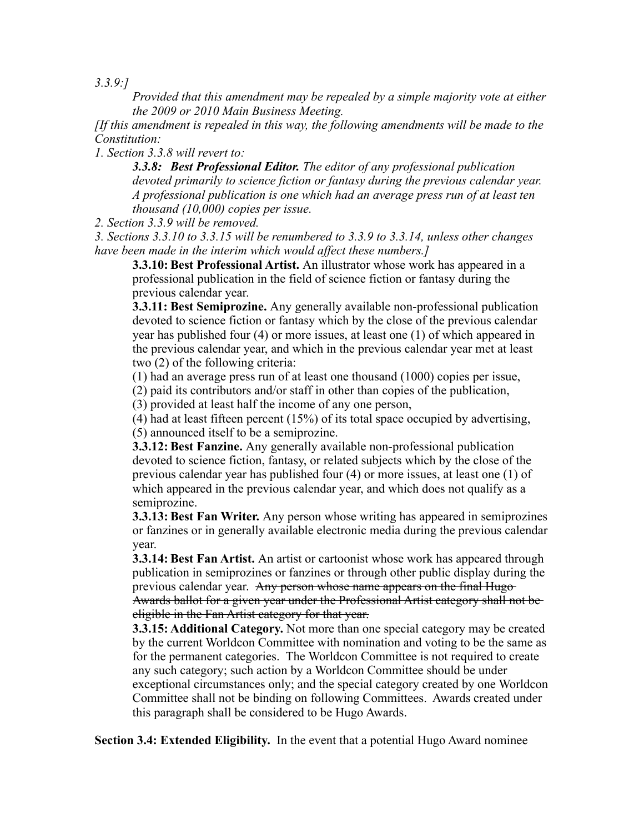*3.3.9:]*

*Provided that this amendment may be repealed by a simple majority vote at either the 2009 or 2010 Main Business Meeting.*

*[If this amendment is repealed in this way, the following amendments will be made to the Constitution:*

*1. Section 3.3.8 will revert to:*

*3.3.8: Best Professional Editor. The editor of any professional publication devoted primarily to science fiction or fantasy during the previous calendar year. A professional publication is one which had an average press run of at least ten thousand (10,000) copies per issue.*

*2. Section 3.3.9 will be removed.*

*3. Sections 3.3.10 to 3.3.15 will be renumbered to 3.3.9 to 3.3.14, unless other changes have been made in the interim which would affect these numbers.]*

3.3.10: Best Professional Artist. An illustrator whose work has appeared in a professional publication in the field of science fiction or fantasy during the previous calendar year.

3.3.11: Best Semiprozine. Any generally available non-professional publication devoted to science fiction or fantasy which by the close of the previous calendar year has published four (4) or more issues, at least one (1) of which appeared in the previous calendar year, and which in the previous calendar year met at least two (2) of the following criteria:

(1) had an average press run of at least one thousand (1000) copies per issue,

(2) paid its contributors and/or staff in other than copies of the publication,

(3) provided at least half the income of any one person,

(4) had at least fifteen percent (15%) of its total space occupied by advertising, (5) announced itself to be a semiprozine.

**3.3.12: Best Fanzine.** Any generally available non-professional publication devoted to science fiction, fantasy, or related subjects which by the close of the previous calendar year has published four (4) or more issues, at least one (1) of which appeared in the previous calendar year, and which does not qualify as a semiprozine.

**3.3.13: Best Fan Writer.** Any person whose writing has appeared in semiprozines or fanzines or in generally available electronic media during the previous calendar year.

**3.3.14: Best Fan Artist.** An artist or cartoonist whose work has appeared through publication in semiprozines or fanzines or through other public display during the previous calendar year. Any person whose name appears on the final Hugo Awards ballot for a given year under the Professional Artist category shall not be eligible in the Fan Artist category for that year.

3.3.15: Additional Category. Not more than one special category may be created by the current Worldcon Committee with nomination and voting to be the same as for the permanent categories. The Worldcon Committee is not required to create any such category; such action by a Worldcon Committee should be under exceptional circumstances only; and the special category created by one Worldcon Committee shall not be binding on following Committees. Awards created under this paragraph shall be considered to be Hugo Awards.

Section 3.4: Extended Eligibility. In the event that a potential Hugo Award nominee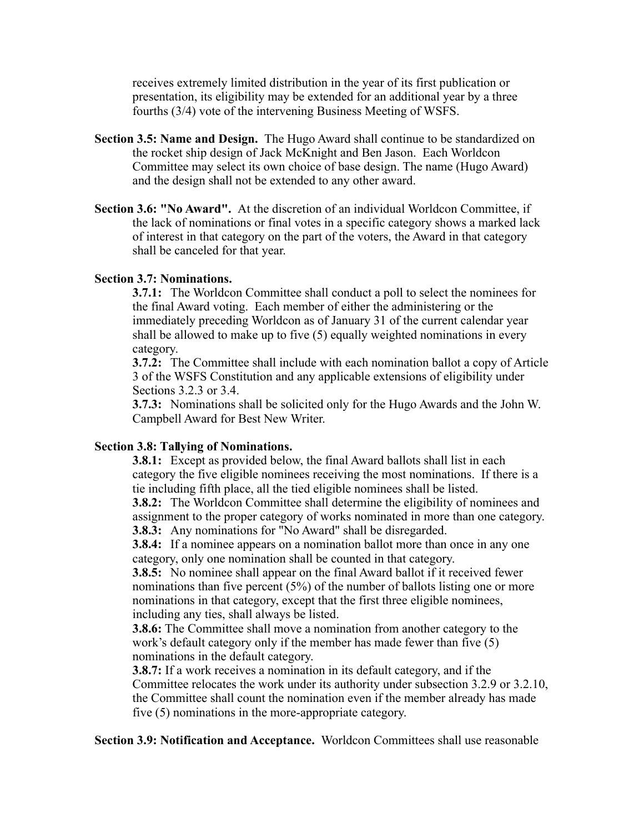receives extremely limited distribution in the year of its first publication or presentation, its eligibility may be extended for an additional year by a three fourths (3/4) vote of the intervening Business Meeting of WSFS.

- Section 3.5: Name and Design. The Hugo Award shall continue to be standardized on the rocket ship design of Jack McKnight and Ben Jason. Each Worldcon Committee may select its own choice of base design. The name (Hugo Award) and the design shall not be extended to any other award.
- Section 3.6: "No Award". At the discretion of an individual Worldcon Committee, if the lack of nominations or final votes in a specific category shows a marked lack of interest in that category on the part of the voters, the Award in that category shall be canceled for that year.

## Section 3.7: Nominations.

3.7.1: The Worldcon Committee shall conduct a poll to select the nominees for the final Award voting. Each member of either the administering or the immediately preceding Worldcon as of January 31 of the current calendar year shall be allowed to make up to five (5) equally weighted nominations in every category.

3.7.2: The Committee shall include with each nomination ballot a copy of Article 3 of the WSFS Constitution and any applicable extensions of eligibility under Sections 3.2.3 or 3.4.

3.7.3: Nominations shall be solicited only for the Hugo Awards and the John W. Campbell Award for Best New Writer.

# Section 3.8: Tallying of Nominations.

**3.8.1:** Except as provided below, the final Award ballots shall list in each category the five eligible nominees receiving the most nominations. If there is a tie including fifth place, all the tied eligible nominees shall be listed.

3.8.2: The Worldcon Committee shall determine the eligibility of nominees and assignment to the proper category of works nominated in more than one category. 3.8.3: Any nominations for "No Award" shall be disregarded.

3.8.4: If a nominee appears on a nomination ballot more than once in any one category, only one nomination shall be counted in that category.

3.8.5: No nominee shall appear on the final Award ballot if it received fewer nominations than five percent (5%) of the number of ballots listing one or more nominations in that category, except that the first three eligible nominees, including any ties, shall always be listed.

3.8.6: The Committee shall move a nomination from another category to the work's default category only if the member has made fewer than five (5) nominations in the default category.

3.8.7: If a work receives a nomination in its default category, and if the Committee relocates the work under its authority under subsection 3.2.9 or 3.2.10, the Committee shall count the nomination even if the member already has made five (5) nominations in the more-appropriate category.

Section 3.9: Notification and Acceptance. Worldcon Committees shall use reasonable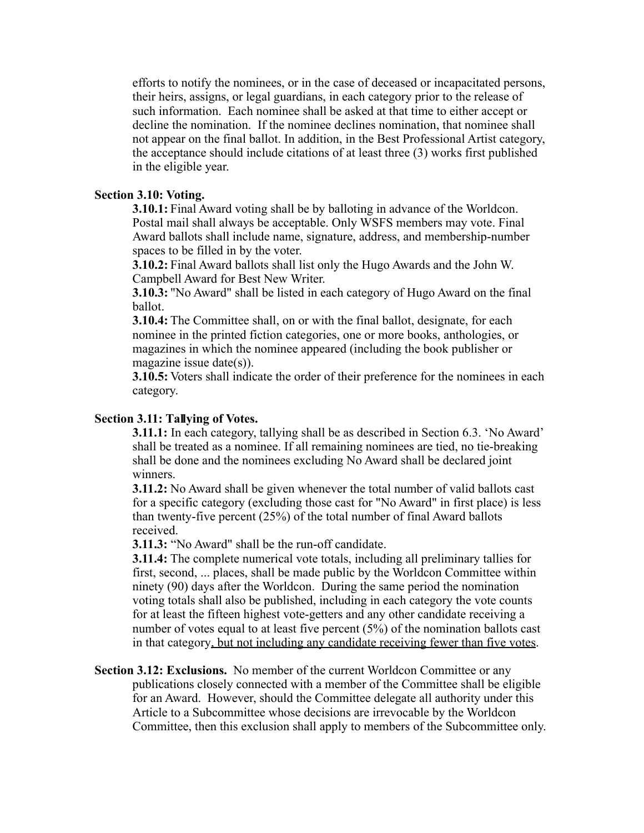efforts to notify the nominees, or in the case of deceased or incapacitated persons, their heirs, assigns, or legal guardians, in each category prior to the release of such information. Each nominee shall be asked at that time to either accept or decline the nomination. If the nominee declines nomination, that nominee shall not appear on the final ballot. In addition, in the Best Professional Artist category, the acceptance should include citations of at least three (3) works first published in the eligible year.

## Section 3.10: Voting.

3.10.1: Final Award voting shall be by balloting in advance of the Worldcon. Postal mail shall always be acceptable. Only WSFS members may vote. Final Award ballots shall include name, signature, address, and membership-number spaces to be filled in by the voter.

3.10.2: Final Award ballots shall list only the Hugo Awards and the John W. Campbell Award for Best New Writer.

3.10.3: "No Award" shall be listed in each category of Hugo Award on the final ballot.

3.10.4: The Committee shall, on or with the final ballot, designate, for each nominee in the printed fiction categories, one or more books, anthologies, or magazines in which the nominee appeared (including the book publisher or magazine issue date(s)).

3.10.5: Voters shall indicate the order of their preference for the nominees in each category.

# Section 3.11: Tallying of Votes.

3.11.1: In each category, tallying shall be as described in Section 6.3. 'No Award' shall be treated as a nominee. If all remaining nominees are tied, no tie-breaking shall be done and the nominees excluding No Award shall be declared joint winners.

3.11.2: No Award shall be given whenever the total number of valid ballots cast for a specific category (excluding those cast for "No Award" in first place) is less than twenty-five percent (25%) of the total number of final Award ballots received.

3.11.3: "No Award" shall be the run-off candidate.

3.11.4: The complete numerical vote totals, including all preliminary tallies for first, second, ... places, shall be made public by the Worldcon Committee within ninety (90) days after the Worldcon. During the same period the nomination voting totals shall also be published, including in each category the vote counts for at least the fifteen highest vote-getters and any other candidate receiving a number of votes equal to at least five percent (5%) of the nomination ballots cast in that category, but not including any candidate receiving fewer than five votes.

Section 3.12: Exclusions. No member of the current Worldcon Committee or any publications closely connected with a member of the Committee shall be eligible for an Award. However, should the Committee delegate all authority under this Article to a Subcommittee whose decisions are irrevocable by the Worldcon Committee, then this exclusion shall apply to members of the Subcommittee only.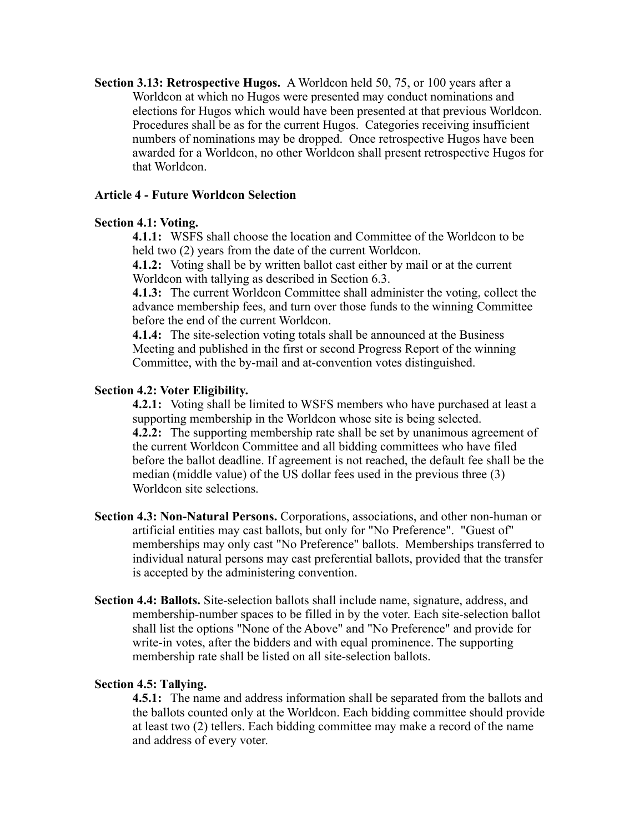Section 3.13: Retrospective Hugos. A Worldcon held 50, 75, or 100 years after a Worldcon at which no Hugos were presented may conduct nominations and elections for Hugos which would have been presented at that previous Worldcon. Procedures shall be as for the current Hugos. Categories receiving insufficient numbers of nominations may be dropped. Once retrospective Hugos have been awarded for a Worldcon, no other Worldcon shall present retrospective Hugos for that Worldcon.

## Article 4 - Future Worldcon Selection

## Section 4.1: Voting.

4.1.1: WSFS shall choose the location and Committee of the Worldcon to be held two (2) years from the date of the current Worldcon.

4.1.2: Voting shall be by written ballot cast either by mail or at the current Worldcon with tallying as described in Section 6.3.

4.1.3: The current Worldcon Committee shall administer the voting, collect the advance membership fees, and turn over those funds to the winning Committee before the end of the current Worldcon.

4.1.4: The site-selection voting totals shall be announced at the Business Meeting and published in the first or second Progress Report of the winning Committee, with the by-mail and at-convention votes distinguished.

#### Section 4.2: Voter Eligibility.

**4.2.1:** Voting shall be limited to WSFS members who have purchased at least a supporting membership in the Worldcon whose site is being selected. 4.2.2: The supporting membership rate shall be set by unanimous agreement of the current Worldcon Committee and all bidding committees who have filed before the ballot deadline. If agreement is not reached, the default fee shall be the median (middle value) of the US dollar fees used in the previous three (3) Worldcon site selections.

- Section 4.3: Non-Natural Persons. Corporations, associations, and other non-human or artificial entities may cast ballots, but only for "No Preference". "Guest of" memberships may only cast "No Preference" ballots. Memberships transferred to individual natural persons may cast preferential ballots, provided that the transfer is accepted by the administering convention.
- Section 4.4: Ballots. Site-selection ballots shall include name, signature, address, and membership-number spaces to be filled in by the voter. Each site-selection ballot shall list the options "None of the Above" and "No Preference" and provide for write-in votes, after the bidders and with equal prominence. The supporting membership rate shall be listed on all site-selection ballots.

#### Section 4.5: Tallying.

4.5.1: The name and address information shall be separated from the ballots and the ballots counted only at the Worldcon. Each bidding committee should provide at least two (2) tellers. Each bidding committee may make a record of the name and address of every voter.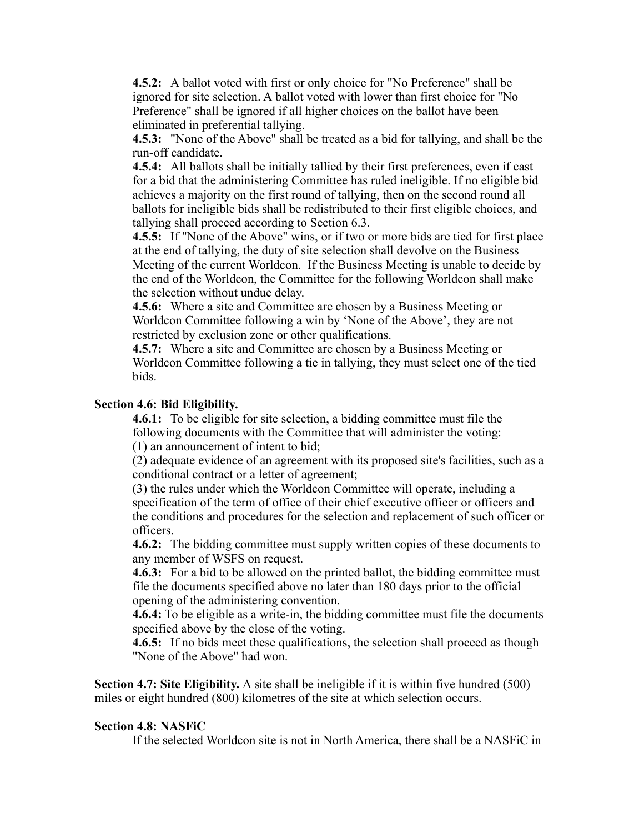4.5.2: A ballot voted with first or only choice for "No Preference" shall be ignored for site selection. A ballot voted with lower than first choice for "No Preference" shall be ignored if all higher choices on the ballot have been eliminated in preferential tallying.

4.5.3: "None of the Above" shall be treated as a bid for tallying, and shall be the run-off candidate.

4.5.4: All ballots shall be initially tallied by their first preferences, even if cast for a bid that the administering Committee has ruled ineligible. If no eligible bid achieves a majority on the first round of tallying, then on the second round all ballots for ineligible bids shall be redistributed to their first eligible choices, and tallying shall proceed according to Section 6.3.

4.5.5: If "None of the Above" wins, or if two or more bids are tied for first place at the end of tallying, the duty of site selection shall devolve on the Business Meeting of the current Worldcon. If the Business Meeting is unable to decide by the end of the Worldcon, the Committee for the following Worldcon shall make the selection without undue delay.

4.5.6: Where a site and Committee are chosen by a Business Meeting or Worldcon Committee following a win by 'None of the Above', they are not restricted by exclusion zone or other qualifications.

4.5.7: Where a site and Committee are chosen by a Business Meeting or Worldcon Committee following a tie in tallying, they must select one of the tied bids.

## Section 4.6: Bid Eligibility.

4.6.1: To be eligible for site selection, a bidding committee must file the following documents with the Committee that will administer the voting: (1) an announcement of intent to bid;

(2) adequate evidence of an agreement with its proposed site's facilities, such as a conditional contract or a letter of agreement;

(3) the rules under which the Worldcon Committee will operate, including a specification of the term of office of their chief executive officer or officers and the conditions and procedures for the selection and replacement of such officer or officers.

4.6.2: The bidding committee must supply written copies of these documents to any member of WSFS on request.

4.6.3: For a bid to be allowed on the printed ballot, the bidding committee must file the documents specified above no later than 180 days prior to the official opening of the administering convention.

4.6.4: To be eligible as a write-in, the bidding committee must file the documents specified above by the close of the voting.

4.6.5: If no bids meet these qualifications, the selection shall proceed as though "None of the Above" had won.

Section 4.7: Site Eligibility. A site shall be ineligible if it is within five hundred (500) miles or eight hundred (800) kilometres of the site at which selection occurs.

#### Section 4.8: NASFiC

If the selected Worldcon site is not in North America, there shall be a NASFiC in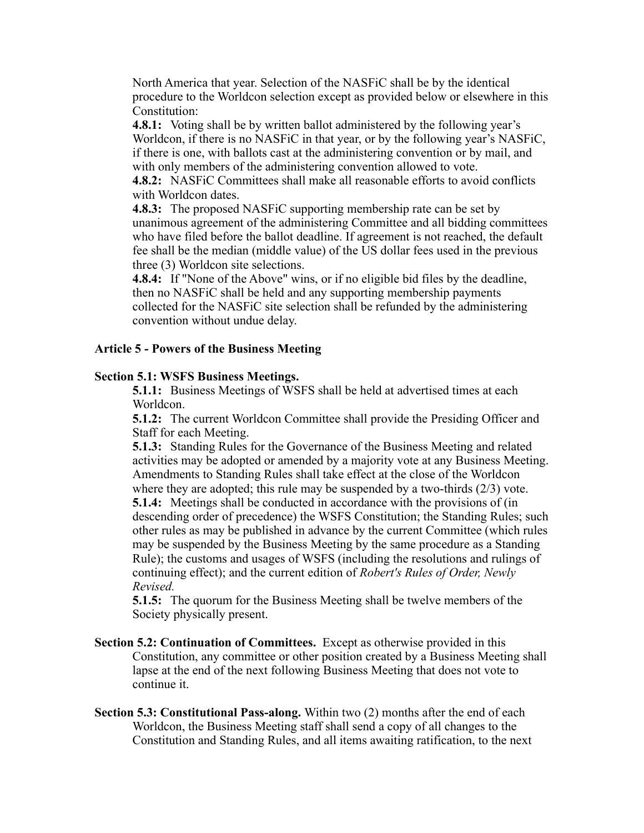North America that year. Selection of the NASFiC shall be by the identical procedure to the Worldcon selection except as provided below or elsewhere in this Constitution:

4.8.1: Voting shall be by written ballot administered by the following year's Worldcon, if there is no NASFiC in that year, or by the following year's NASFiC, if there is one, with ballots cast at the administering convention or by mail, and with only members of the administering convention allowed to vote.

4.8.2: NASFiC Committees shall make all reasonable efforts to avoid conflicts with Worldcon dates.

4.8.3: The proposed NASFiC supporting membership rate can be set by unanimous agreement of the administering Committee and all bidding committees who have filed before the ballot deadline. If agreement is not reached, the default fee shall be the median (middle value) of the US dollar fees used in the previous three (3) Worldcon site selections.

4.8.4: If "None of the Above" wins, or if no eligible bid files by the deadline, then no NASFiC shall be held and any supporting membership payments collected for the NASFiC site selection shall be refunded by the administering convention without undue delay.

## Article 5 - Powers of the Business Meeting

## Section 5.1: WSFS Business Meetings.

5.1.1: Business Meetings of WSFS shall be held at advertised times at each Worldcon.

5.1.2: The current Worldcon Committee shall provide the Presiding Officer and Staff for each Meeting.

5.1.3: Standing Rules for the Governance of the Business Meeting and related activities may be adopted or amended by a majority vote at any Business Meeting. Amendments to Standing Rules shall take effect at the close of the Worldcon where they are adopted; this rule may be suspended by a two-thirds  $(2/3)$  vote. 5.1.4: Meetings shall be conducted in accordance with the provisions of (in descending order of precedence) the WSFS Constitution; the Standing Rules; such other rules as may be published in advance by the current Committee (which rules may be suspended by the Business Meeting by the same procedure as a Standing Rule); the customs and usages of WSFS (including the resolutions and rulings of continuing effect); and the current edition of *Robert's Rules of Order, Newly Revised.*

5.1.5: The quorum for the Business Meeting shall be twelve members of the Society physically present.

- Section 5.2: Continuation of Committees. Except as otherwise provided in this Constitution, any committee or other position created by a Business Meeting shall lapse at the end of the next following Business Meeting that does not vote to continue it.
- Section 5.3: Constitutional Pass-along. Within two (2) months after the end of each Worldcon, the Business Meeting staff shall send a copy of all changes to the Constitution and Standing Rules, and all items awaiting ratification, to the next